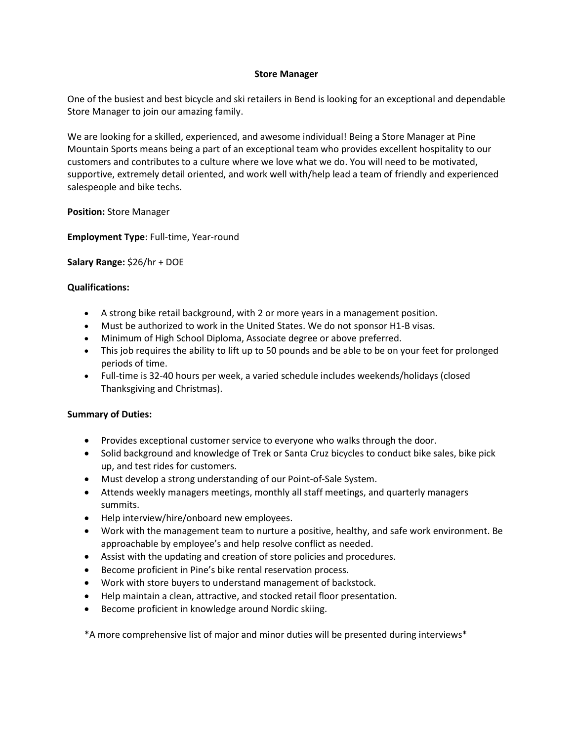## **Store Manager**

One of the busiest and best bicycle and ski retailers in Bend is looking for an exceptional and dependable Store Manager to join our amazing family.

We are looking for a skilled, experienced, and awesome individual! Being a Store Manager at Pine Mountain Sports means being a part of an exceptional team who provides excellent hospitality to our customers and contributes to a culture where we love what we do. You will need to be motivated, supportive, extremely detail oriented, and work well with/help lead a team of friendly and experienced salespeople and bike techs.

**Position:** Store Manager

**Employment Type**: Full-time, Year-round

**Salary Range:** \$26/hr + DOE

## **Qualifications:**

- A strong bike retail background, with 2 or more years in a management position.
- Must be authorized to work in the United States. We do not sponsor H1-B visas.
- Minimum of High School Diploma, Associate degree or above preferred.
- This job requires the ability to lift up to 50 pounds and be able to be on your feet for prolonged periods of time.
- Full-time is 32-40 hours per week, a varied schedule includes weekends/holidays (closed Thanksgiving and Christmas).

## **Summary of Duties:**

- Provides exceptional customer service to everyone who walks through the door.
- Solid background and knowledge of Trek or Santa Cruz bicycles to conduct bike sales, bike pick up, and test rides for customers.
- Must develop a strong understanding of our Point-of-Sale System.
- Attends weekly managers meetings, monthly all staff meetings, and quarterly managers summits.
- Help interview/hire/onboard new employees.
- Work with the management team to nurture a positive, healthy, and safe work environment. Be approachable by employee's and help resolve conflict as needed.
- Assist with the updating and creation of store policies and procedures.
- Become proficient in Pine's bike rental reservation process.
- Work with store buyers to understand management of backstock.
- Help maintain a clean, attractive, and stocked retail floor presentation.
- Become proficient in knowledge around Nordic skiing.

\*A more comprehensive list of major and minor duties will be presented during interviews\*